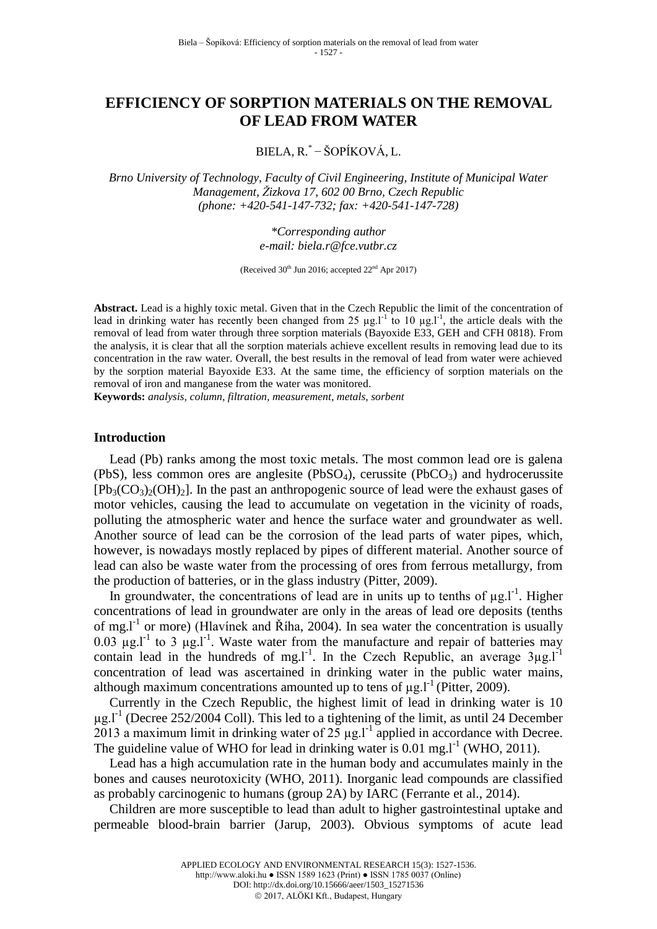# **EFFICIENCY OF SORPTION MATERIALS ON THE REMOVAL OF LEAD FROM WATER**

BIELA, R.\* − ŠOPÍKOVÁ, L.

*Brno University of Technology, Faculty of Civil Engineering, Institute of Municipal Water Management, Žizkova 17, 602 00 Brno, Czech Republic (phone: +420-541-147-732; fax: +420-541-147-728)*

> *\*Corresponding author e-mail: [biela.r@fce.vutbr.cz](mailto:biela.r@fce.vutbr.cz)*

(Received  $30<sup>th</sup>$  Jun 2016; accepted  $22<sup>nd</sup>$  Apr 2017)

**Abstract.** Lead is a highly toxic metal. Given that in the Czech Republic the limit of the concentration of lead in drinking water has recently been changed from 25  $\mu$ g.l<sup>-1</sup> to 10  $\mu$ g.l<sup>-1</sup>, the article deals with the removal of lead from water through three sorption materials (Bayoxide E33, GEH and CFH 0818). From the analysis, it is clear that all the sorption materials achieve excellent results in removing lead due to its concentration in the raw water. Overall, the best results in the removal of lead from water were achieved by the sorption material Bayoxide E33. At the same time, the efficiency of sorption materials on the removal of iron and manganese from the water was monitored.

**Keywords:** *analysis, column*, *filtration, measurement, metals, sorbent*

#### **Introduction**

Lead (Pb) ranks among the most toxic metals. The most common lead ore is galena (PbS), less common ores are anglesite (PbSO<sub>4</sub>), cerussite (PbCO<sub>3</sub>) and hydrocerussite  $[Pb_3(CO_3)_2(OH)_2]$ . In the past an anthropogenic source of lead were the exhaust gases of motor vehicles, causing the lead to accumulate on vegetation in the vicinity of roads, polluting the atmospheric water and hence the surface water and groundwater as well. Another source of lead can be the corrosion of the lead parts of water pipes, which, however, is nowadays mostly replaced by pipes of different material. Another source of lead can also be waste water from the processing of ores from ferrous metallurgy, from the production of batteries, or in the glass industry (Pitter, 2009).

In groundwater, the concentrations of lead are in units up to tenths of  $\mu$ g.l<sup>-1</sup>. Higher concentrations of lead in groundwater are only in the areas of lead ore deposits (tenths of mg.l<sup>-1</sup> or more) (Hlavínek and Říha, 2004). In sea water the concentration is usually  $0.03 \mu$ g.l<sup>-1</sup> to 3  $\mu$ g.l<sup>-1</sup>. Waste water from the manufacture and repair of batteries may contain lead in the hundreds of mg.l<sup>-1</sup>. In the Czech Republic, an average  $3\mu g.I^{-1}$ concentration of lead was ascertained in drinking water in the public water mains, although maximum concentrations amounted up to tens of  $\mu$ g.l<sup>-1</sup> (Pitter, 2009).

Currently in the Czech Republic, the highest limit of lead in drinking water is 10  $\mu$ g.l<sup>-1</sup> (Decree 252/2004 Coll). This led to a tightening of the limit, as until 24 December 2013 a maximum limit in drinking water of  $25 \mu g$ .<sup>11</sup> applied in accordance with Decree. The guideline value of WHO for lead in drinking water is  $0.01$  mg. $I<sup>-1</sup>$  (WHO, 2011).

Lead has a high accumulation rate in the human body and accumulates mainly in the bones and causes neurotoxicity (WHO, 2011). Inorganic lead compounds are classified as probably carcinogenic to humans (group 2A) by IARC (Ferrante et al., 2014).

Children are more susceptible to lead than adult to higher gastrointestinal uptake and permeable blood-brain barrier (Jarup, 2003). Obvious symptoms of acute lead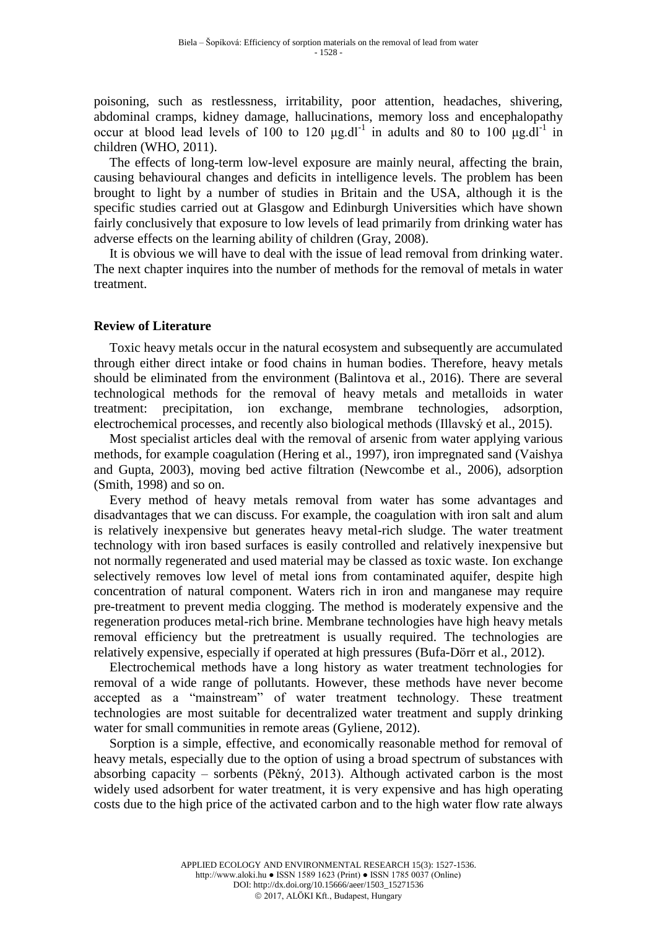poisoning, such as restlessness, irritability, poor attention, headaches, shivering, abdominal cramps, kidney damage, hallucinations, memory loss and encephalopathy occur at blood lead levels of 100 to 120  $\mu$ g.dl<sup>-1</sup> in adults and 80 to 100  $\mu$ g.dl<sup>-1</sup> in children (WHO, 2011).

The effects of long-term low-level exposure are mainly neural, affecting the brain, causing behavioural changes and deficits in intelligence levels. The problem has been brought to light by a number of studies in Britain and the USA, although it is the specific studies carried out at Glasgow and Edinburgh Universities which have shown fairly conclusively that exposure to low levels of lead primarily from drinking water has adverse effects on the learning ability of children (Gray, 2008).

It is obvious we will have to deal with the issue of lead removal from drinking water. The next chapter inquires into the number of methods for the removal of metals in water treatment.

# **Review of Literature**

Toxic heavy metals occur in the natural ecosystem and subsequently are accumulated through either direct intake or food chains in human bodies. Therefore, heavy metals should be eliminated from the environment (Balintova et al., 2016). There are several technological methods for the removal of heavy metals and metalloids in water treatment: precipitation, ion exchange, membrane technologies, adsorption, electrochemical processes, and recently also biological methods (Illavský et al., 2015).

Most specialist articles deal with the removal of arsenic from water applying various methods, for example coagulation (Hering et al., 1997), iron impregnated sand (Vaishya and Gupta, 2003), moving bed active filtration (Newcombe et al., 2006), adsorption (Smith, 1998) and so on.

Every method of heavy metals removal from water has some advantages and disadvantages that we can discuss. For example, the coagulation with iron salt and alum is relatively inexpensive but generates heavy metal-rich sludge. The water treatment technology with iron based surfaces is easily controlled and relatively inexpensive but not normally regenerated and used material may be classed as toxic waste. Ion exchange selectively removes low level of metal ions from contaminated aquifer, despite high concentration of natural component. Waters rich in iron and manganese may require pre-treatment to prevent media clogging. The method is moderately expensive and the regeneration produces metal-rich brine. Membrane technologies have high heavy metals removal efficiency but the pretreatment is usually required. The technologies are relatively expensive, especially if operated at high pressures (Bufa-Dörr et al., 2012).

Electrochemical methods have a long history as water treatment technologies for removal of a wide range of pollutants. However, these methods have never become accepted as a "mainstream" of water treatment technology. These treatment technologies are most suitable for decentralized water treatment and supply drinking water for small communities in remote areas (Gyliene, 2012).

Sorption is a simple, effective, and economically reasonable method for removal of heavy metals, especially due to the option of using a broad spectrum of substances with absorbing capacity – sorbents (Pěkný, 2013). Although activated carbon is the most widely used adsorbent for water treatment, it is very expensive and has high operating costs due to the high price of the activated carbon and to the high water flow rate always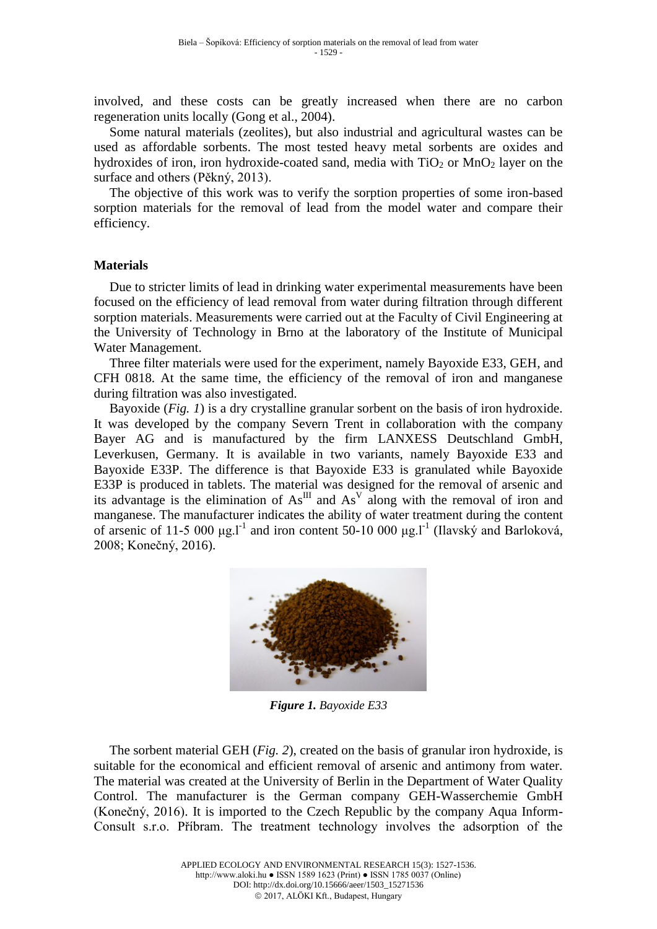involved, and these costs can be greatly increased when there are no carbon regeneration units locally (Gong et al., 2004).

Some natural materials (zeolites), but also industrial and agricultural wastes can be used as affordable sorbents. The most tested heavy metal sorbents are oxides and hydroxides of iron, iron hydroxide-coated sand, media with  $TiO<sub>2</sub>$  or  $MnO<sub>2</sub>$  layer on the surface and others (Pěkný, 2013).

The objective of this work was to verify the sorption properties of some iron-based sorption materials for the removal of lead from the model water and compare their efficiency.

# **Materials**

Due to stricter limits of lead in drinking water experimental measurements have been focused on the efficiency of lead removal from water during filtration through different sorption materials. Measurements were carried out at the Faculty of Civil Engineering at the University of Technology in Brno at the laboratory of the Institute of Municipal Water Management.

Three filter materials were used for the experiment, namely Bayoxide E33, GEH, and CFH 0818. At the same time, the efficiency of the removal of iron and manganese during filtration was also investigated.

Bayoxide (*Fig. 1*) is a dry crystalline granular sorbent on the basis of iron hydroxide. It was developed by the company Severn Trent in collaboration with the company Bayer AG and is manufactured by the firm LANXESS Deutschland GmbH, Leverkusen, Germany. It is available in two variants, namely Bayoxide E33 and Bayoxide E33P. The difference is that Bayoxide E33 is granulated while Bayoxide E33P is produced in tablets. The material was designed for the removal of arsenic and its advantage is the elimination of  $As^{III}$  and  $As^{V}$  along with the removal of iron and manganese. The manufacturer indicates the ability of water treatment during the content of arsenic of 11-5 000 μg.<sup>1-1</sup> and iron content 50-10 000 μg.<sup>1-1</sup> (Ilavský and Barloková, 2008; Konečný, 2016).



*Figure 1. Bayoxide E33*

The sorbent material GEH (*Fig. 2*), created on the basis of granular iron hydroxide, is suitable for the economical and efficient removal of arsenic and antimony from water. The material was created at the University of Berlin in the Department of Water Quality Control. The manufacturer is the German company GEH-Wasserchemie GmbH (Konečný, 2016). It is imported to the Czech Republic by the company Aqua Inform-Consult s.r.o. Příbram. The treatment technology involves the adsorption of the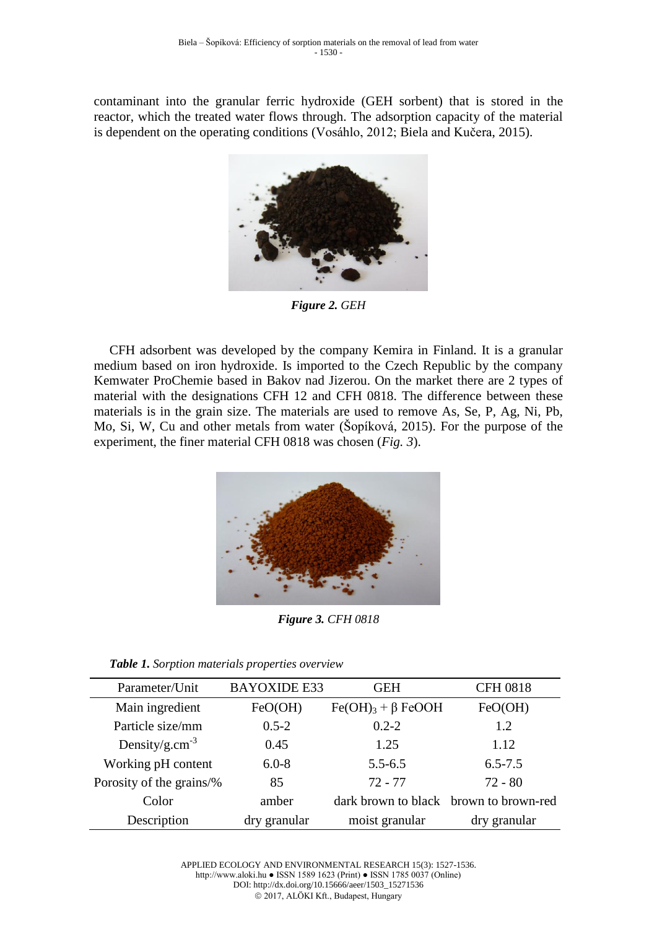contaminant into the granular ferric hydroxide (GEH sorbent) that is stored in the reactor, which the treated water flows through. The adsorption capacity of the material is dependent on the operating conditions (Vosáhlo, 2012; Biela and Kučera, 2015).



*Figure 2. GEH*

CFH adsorbent was developed by the company Kemira in Finland. It is a granular medium based on iron hydroxide. Is imported to the Czech Republic by the company Kemwater ProChemie based in Bakov nad Jizerou. On the market there are 2 types of material with the designations CFH 12 and CFH 0818. The difference between these materials is in the grain size. The materials are used to remove As, Se, P, Ag, Ni, Pb, Mo, Si, W, Cu and other metals from water (Šopíková, 2015). For the purpose of the experiment, the finer material CFH 0818 was chosen (*Fig. 3*).



*Figure 3. CFH 0818*

|  |  |  | Table 1. Sorption materials properties overview |  |
|--|--|--|-------------------------------------------------|--|
|--|--|--|-------------------------------------------------|--|

| Parameter/Unit             | <b>BAYOXIDE E33</b> | <b>GEH</b>                             | <b>CFH 0818</b> |
|----------------------------|---------------------|----------------------------------------|-----------------|
| Main ingredient            | FeO(OH)             | $Fe(OH)3 + \beta FeOOH$                | FeO(OH)         |
| Particle size/mm           | $0.5 - 2$           | $0.2 - 2$                              | 1.2             |
| Density/g.cm <sup>-3</sup> | 0.45                | 1.25                                   | 1.12            |
| Working pH content         | $6.0 - 8$           | $5.5 - 6.5$                            | $6.5 - 7.5$     |
| Porosity of the grains/%   | 85                  | $72 - 77$                              | $72 - 80$       |
| Color                      | amber               | dark brown to black brown to brown-red |                 |
| Description                | dry granular        | moist granular                         | dry granular    |

APPLIED ECOLOGY AND ENVIRONMENTAL RESEARCH 15(3): 1527-1536. http://www.aloki.hu ● ISSN 1589 1623 (Print) ● ISSN 1785 0037 (Online) DOI: http://dx.doi.org/10.15666/aeer/1503\_15271536 2017, ALÖKI Kft., Budapest, Hungary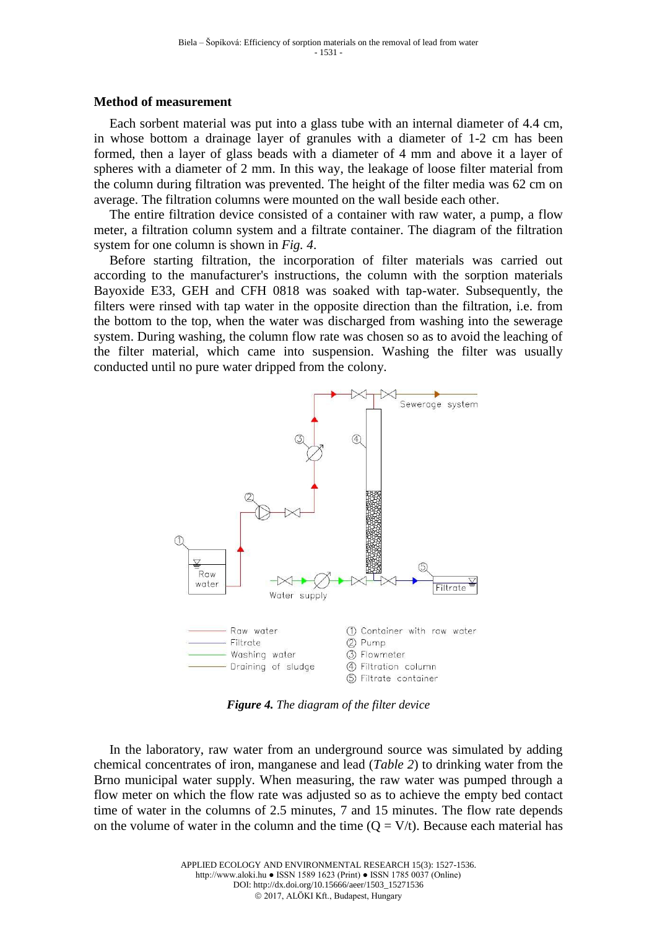## **Method of measurement**

Each sorbent material was put into a glass tube with an internal diameter of 4.4 cm, in whose bottom a drainage layer of granules with a diameter of 1-2 cm has been formed, then a layer of glass beads with a diameter of 4 mm and above it a layer of spheres with a diameter of 2 mm. In this way, the leakage of loose filter material from the column during filtration was prevented. The height of the filter media was 62 cm on average. The filtration columns were mounted on the wall beside each other.

The entire filtration device consisted of a container with raw water, a pump, a flow meter, a filtration column system and a filtrate container. The diagram of the filtration system for one column is shown in *Fig. 4*.

Before starting filtration, the incorporation of filter materials was carried out according to the manufacturer's instructions, the column with the sorption materials Bayoxide E33, GEH and CFH 0818 was soaked with tap-water. Subsequently, the filters were rinsed with tap water in the opposite direction than the filtration, i.e. from the bottom to the top, when the water was discharged from washing into the sewerage system. During washing, the column flow rate was chosen so as to avoid the leaching of the filter material, which came into suspension. Washing the filter was usually conducted until no pure water dripped from the colony.



*Figure 4. The diagram of the filter device*

In the laboratory, raw water from an underground source was simulated by adding chemical concentrates of iron, manganese and lead (*Table 2*) to drinking water from the Brno municipal water supply. When measuring, the raw water was pumped through a flow meter on which the flow rate was adjusted so as to achieve the empty bed contact time of water in the columns of 2.5 minutes, 7 and 15 minutes. The flow rate depends on the volume of water in the column and the time  $(Q = V/t)$ . Because each material has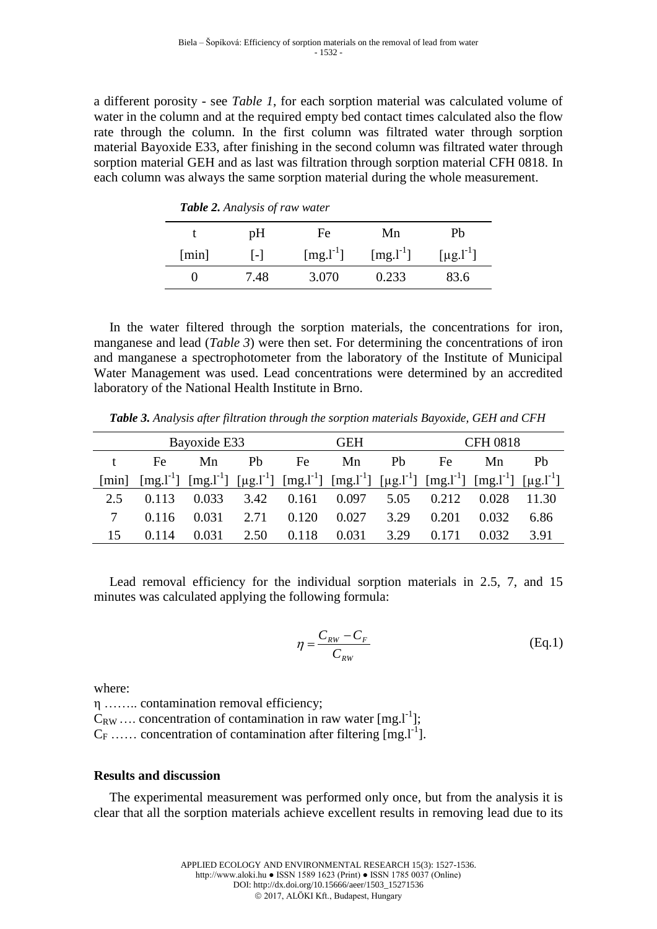a different porosity - see *Table 1*, for each sorption material was calculated volume of water in the column and at the required empty bed contact times calculated also the flow rate through the column. In the first column was filtrated water through sorption material Bayoxide E33, after finishing in the second column was filtrated water through sorption material GEH and as last was filtration through sorption material CFH 0818. In each column was always the same sorption material during the whole measurement.

| <b>Table 2.</b> Analysis of raw water |              |             |               |                               |  |
|---------------------------------------|--------------|-------------|---------------|-------------------------------|--|
|                                       | рH           | Fe          | Mn            | Ph                            |  |
| $\lceil \min \rceil$                  | $\mathsf{L}$ | $[mg. l-1]$ | $[mg.1^{-1}]$ | $\lceil \mu g. l^{-1} \rceil$ |  |
| 0                                     | 7.48         | 3.070       | 0.233         | 83.6                          |  |

In the water filtered through the sorption materials, the concentrations for iron, manganese and lead (*Table 3*) were then set. For determining the concentrations of iron and manganese a spectrophotometer from the laboratory of the Institute of Municipal Water Management was used. Lead concentrations were determined by an accredited laboratory of the National Health Institute in Brno.

*Table 3. Analysis after filtration through the sorption materials Bayoxide, GEH and CFH*

| Bayoxide E33 |       |       |      | <b>GEH</b> |                                                                                                                         |      | <b>CFH 0818</b> |       |       |
|--------------|-------|-------|------|------------|-------------------------------------------------------------------------------------------------------------------------|------|-----------------|-------|-------|
|              | Fe    | Mn    | Ph   | Fe         | Mn                                                                                                                      | Pb   | Fe              | Mn    | Ph    |
| [min]        |       |       |      |            | $[mg, l^{-1}]$ $[mg, l^{-1}]$ $[ng, l^{-1}]$ $[mg, l^{-1}]$ $[mg, l^{-1}]$ $[mg, l^{-1}]$ $[mg, l^{-1}]$ $[ng, l^{-1}]$ |      |                 |       |       |
| 2.5          |       | 0.033 | 3.42 | 0.161      | 0.097                                                                                                                   | 5.05 | 0.212           | 0.028 | 11.30 |
|              | 0.116 | 0.031 | 2.71 | 0.120      | 0.027                                                                                                                   | 3.29 | 0.201           | 0.032 | 6.86  |
| 15           | 0.114 | 0.031 | 2.50 | 0.118      | 0.031                                                                                                                   | 3.29 |                 | 0.032 | 3.91  |

Lead removal efficiency for the individual sorption materials in 2.5, 7, and 15 minutes was calculated applying the following formula:

$$
\eta = \frac{C_{RW} - C_F}{C_{RW}} \tag{Eq.1}
$$

where:

η …….. contamination removal efficiency;  $C_{RW}$  .... concentration of contamination in raw water [mg.l<sup>-1</sup>];  $C_F$  ...... concentration of contamination after filtering [mg.l<sup>-1</sup>].

# **Results and discussion**

The experimental measurement was performed only once, but from the analysis it is clear that all the sorption materials achieve excellent results in removing lead due to its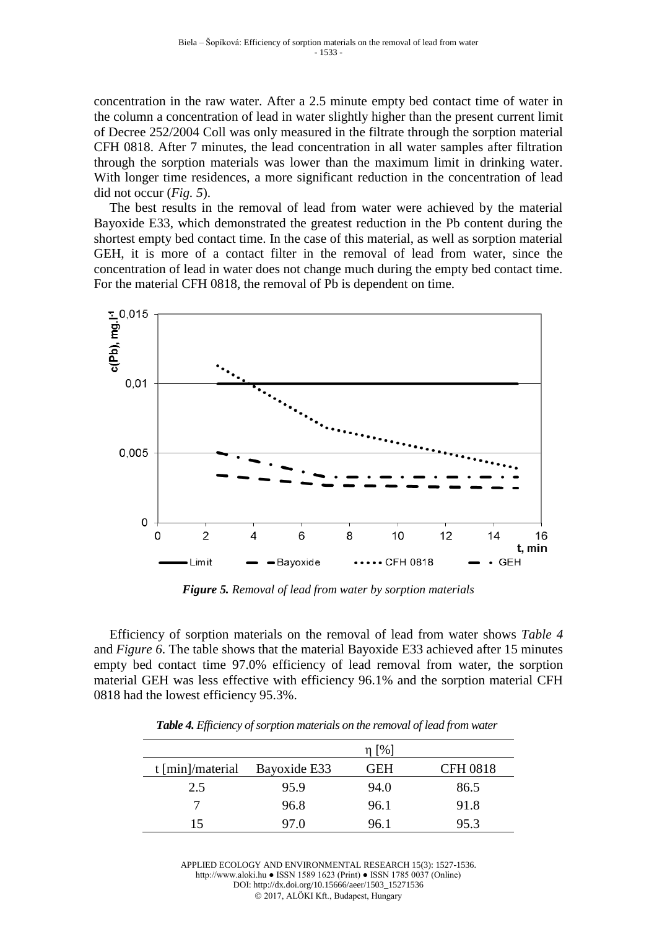concentration in the raw water. After a 2.5 minute empty bed contact time of water in the column a concentration of lead in water slightly higher than the present current limit of Decree 252/2004 Coll was only measured in the filtrate through the sorption material CFH 0818. After 7 minutes, the lead concentration in all water samples after filtration through the sorption materials was lower than the maximum limit in drinking water. With longer time residences, a more significant reduction in the concentration of lead did not occur (*Fig. 5*).

The best results in the removal of lead from water were achieved by the material Bayoxide E33, which demonstrated the greatest reduction in the Pb content during the shortest empty bed contact time. In the case of this material, as well as sorption material GEH, it is more of a contact filter in the removal of lead from water, since the concentration of lead in water does not change much during the empty bed contact time. For the material CFH 0818, the removal of Pb is dependent on time.



*Figure 5. Removal of lead from water by sorption materials*

Efficiency of sorption materials on the removal of lead from water shows *Table 4* and *Figure 6*. The table shows that the material Bayoxide E33 achieved after 15 minutes empty bed contact time 97.0% efficiency of lead removal from water, the sorption material GEH was less effective with efficiency 96.1% and the sorption material CFH 0818 had the lowest efficiency 95.3%.

|                    |              | $\eta$ [%] |                 |
|--------------------|--------------|------------|-----------------|
| $t$ [min]/material | Bayoxide E33 | <b>GEH</b> | <b>CFH 0818</b> |
| 2.5                | 95.9         | 94.0       | 86.5            |
|                    | 96.8         | 96.1       | 91.8            |
| 15                 | 97.0         | 96.1       | 95.3            |

*Table 4. Efficiency of sorption materials on the removal of lead from water*

APPLIED ECOLOGY AND ENVIRONMENTAL RESEARCH 15(3): 1527-1536. http://www.aloki.hu ● ISSN 1589 1623 (Print) ● ISSN 1785 0037 (Online) DOI: http://dx.doi.org/10.15666/aeer/1503\_15271536 2017, ALÖKI Kft., Budapest, Hungary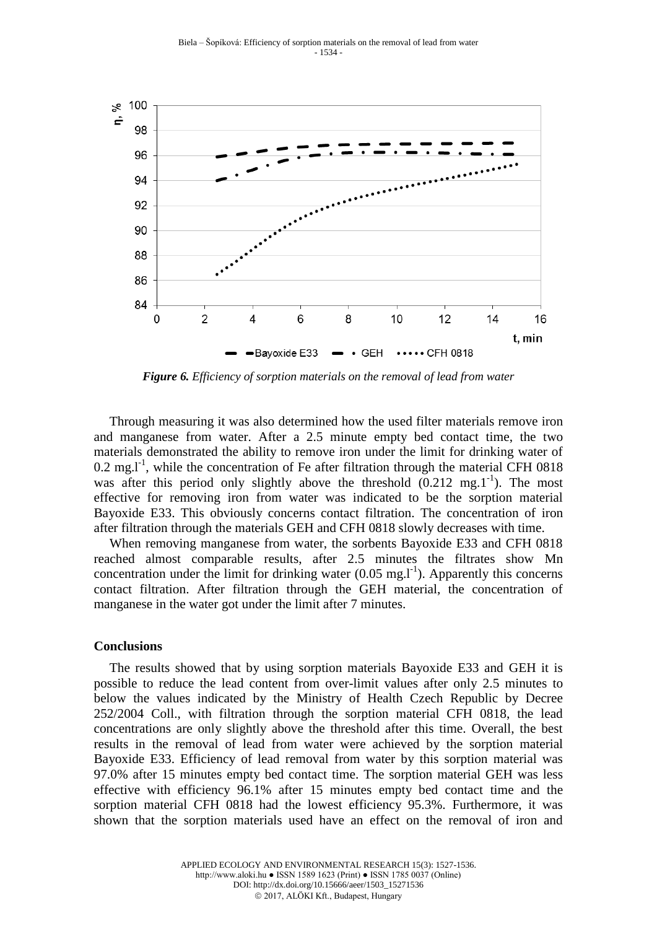

*Figure 6. Efficiency of sorption materials on the removal of lead from water*

Through measuring it was also determined how the used filter materials remove iron and manganese from water. After a 2.5 minute empty bed contact time, the two materials demonstrated the ability to remove iron under the limit for drinking water of  $0.2 \text{ mg.} l^{\text{-1}}$ , while the concentration of Fe after filtration through the material CFH 0818 was after this period only slightly above the threshold  $(0.212 \text{ mg.1}^{-1})$ . The most effective for removing iron from water was indicated to be the sorption material Bayoxide E33. This obviously concerns contact filtration. The concentration of iron after filtration through the materials GEH and CFH 0818 slowly decreases with time.

When removing manganese from water, the sorbents Bayoxide E33 and CFH 0818 reached almost comparable results, after 2.5 minutes the filtrates show Mn concentration under the limit for drinking water  $(0.05 \text{ mg.} l^{-1})$ . Apparently this concerns contact filtration. After filtration through the GEH material, the concentration of manganese in the water got under the limit after 7 minutes.

#### **Conclusions**

The results showed that by using sorption materials Bayoxide E33 and GEH it is possible to reduce the lead content from over-limit values after only 2.5 minutes to below the values indicated by the Ministry of Health Czech Republic by Decree 252/2004 Coll., with filtration through the sorption material CFH 0818, the lead concentrations are only slightly above the threshold after this time. Overall, the best results in the removal of lead from water were achieved by the sorption material Bayoxide E33. Efficiency of lead removal from water by this sorption material was 97.0% after 15 minutes empty bed contact time. The sorption material GEH was less effective with efficiency 96.1% after 15 minutes empty bed contact time and the sorption material CFH 0818 had the lowest efficiency 95.3%. Furthermore, it was shown that the sorption materials used have an effect on the removal of iron and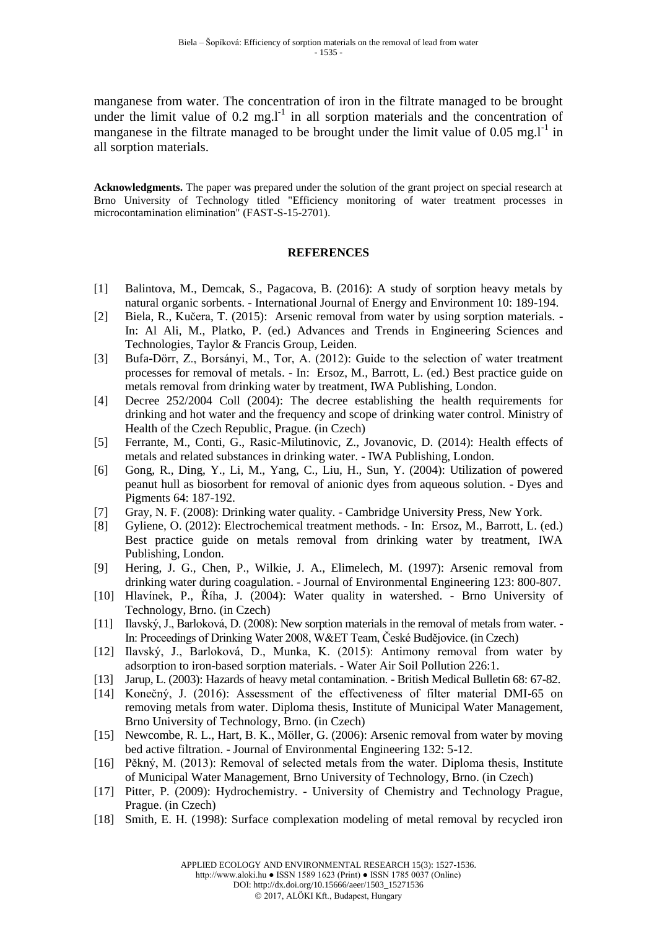manganese from water. The concentration of iron in the filtrate managed to be brought under the limit value of  $0.2 \text{ mg.} l^{\text{-}1}$  in all sorption materials and the concentration of manganese in the filtrate managed to be brought under the limit value of  $0.05 \text{ mg.} \text{m}^{-1}$  in all sorption materials.

**Acknowledgments.** The paper was prepared under the solution of the grant project on special research at Brno University of Technology titled "Efficiency monitoring of water treatment processes in microcontamination elimination" (FAST-S-15-2701).

## **REFERENCES**

- [1] Balintova, M., Demcak, S., Pagacova, B. (2016): A study of sorption heavy metals by natural organic sorbents. - International Journal of Energy and Environment 10: 189-194.
- [2] Biela, R., Kučera, T. (2015): Arsenic removal from water by using sorption materials. In: Al Ali, M., Platko, P. (ed.) Advances and Trends in Engineering Sciences and Technologies, Taylor & Francis Group, Leiden.
- [3] Bufa-Dörr, Z., Borsányi, M., Tor, A. (2012): Guide to the selection of water treatment processes for removal of metals. - In: Ersoz, M., Barrott, L. (ed.) Best practice guide on metals removal from drinking water by treatment, IWA Publishing, London.
- [4] Decree 252/2004 Coll (2004): The decree establishing the health requirements for drinking and hot water and the frequency and scope of drinking water control. Ministry of Health of the Czech Republic, Prague. (in Czech)
- [5] Ferrante, M., Conti, G., Rasic-Milutinovic, Z., Jovanovic, D. (2014): Health effects of metals and related substances in drinking water. - IWA Publishing, London.
- [6] Gong, R., Ding, Y., Li, M., Yang, C., Liu, H., Sun, Y. (2004): Utilization of powered peanut hull as biosorbent for removal of anionic dyes from aqueous solution. - Dyes and Pigments 64: 187-192.
- [7] Gray, N. F. (2008): Drinking water quality. Cambridge University Press, New York.
- [8] Gyliene, O. (2012): Electrochemical treatment methods. In: Ersoz, M., Barrott, L. (ed.) Best practice guide on metals removal from drinking water by treatment, IWA Publishing, London.
- [9] Hering, J. G., Chen, P., Wilkie, J. A., Elimelech, M. (1997): Arsenic removal from drinking water during coagulation. - Journal of Environmental Engineering 123: 800-807.
- [10] Hlavínek, P., Říha, J. (2004): Water quality in watershed. Brno University of Technology, Brno. (in Czech)
- [11] Ilavský, J., Barloková, D. (2008): New sorption materials in the removal of metals from water. In: Proceedings of Drinking Water 2008, W&ET Team, České Budějovice. (in Czech)
- [12] Ilavský, J., Barloková, D., Munka, K. (2015): Antimony removal from water by adsorption to iron-based sorption materials. - Water Air Soil Pollution 226:1.
- [13] Jarup, L. (2003): Hazards of heavy metal contamination. British Medical Bulletin 68: 67-82.
- [14] Konečný, J. (2016): Assessment of the effectiveness of filter material DMI-65 on removing metals from water. Diploma thesis, Institute of Municipal Water Management, Brno University of Technology, Brno. (in Czech)
- [15] Newcombe, R. L., Hart, B. K., Möller, G. (2006): Arsenic removal from water by moving bed active filtration. - Journal of Environmental Engineering 132: 5-12.
- [16] Pěkný, M. (2013): Removal of selected metals from the water. Diploma thesis, Institute of Municipal Water Management, Brno University of Technology, Brno. (in Czech)
- [17] Pitter, P. (2009): Hydrochemistry. University of Chemistry and Technology Prague, Prague. (in Czech)
- [18] Smith, E. H. (1998): Surface complexation modeling of metal removal by recycled iron